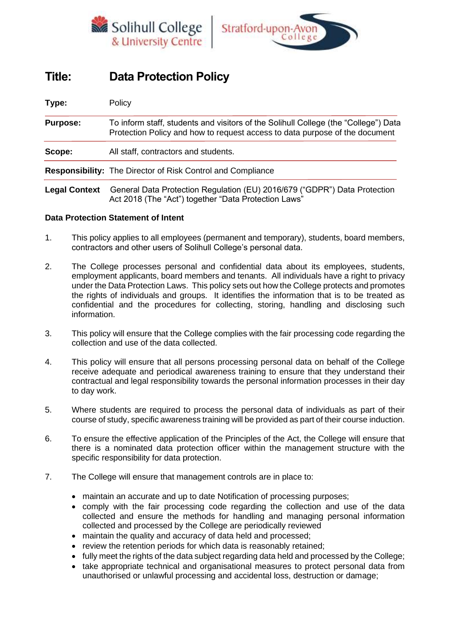



# **Title: Data Protection Policy**

| Type:                | Policy                                                                                                                                                             |  |  |  |
|----------------------|--------------------------------------------------------------------------------------------------------------------------------------------------------------------|--|--|--|
| <b>Purpose:</b>      | To inform staff, students and visitors of the Solihull College (the "College") Data<br>Protection Policy and how to request access to data purpose of the document |  |  |  |
| Scope:               | All staff, contractors and students.                                                                                                                               |  |  |  |
|                      | Responsibility: The Director of Risk Control and Compliance                                                                                                        |  |  |  |
| <b>Legal Context</b> | General Data Protection Regulation (EU) 2016/679 ("GDPR") Data Protection<br>Act 2018 (The "Act") together "Data Protection Laws"                                  |  |  |  |

## **Data Protection Statement of Intent**

- 1. This policy applies to all employees (permanent and temporary), students, board members, contractors and other users of Solihull College's personal data.
- 2. The College processes personal and confidential data about its employees, students, employment applicants, board members and tenants. All individuals have a right to privacy under the Data Protection Laws. This policy sets out how the College protects and promotes the rights of individuals and groups. It identifies the information that is to be treated as confidential and the procedures for collecting, storing, handling and disclosing such information.
- 3. This policy will ensure that the College complies with the fair processing code regarding the collection and use of the data collected.
- 4. This policy will ensure that all persons processing personal data on behalf of the College receive adequate and periodical awareness training to ensure that they understand their contractual and legal responsibility towards the personal information processes in their day to day work.
- 5. Where students are required to process the personal data of individuals as part of their course of study, specific awareness training will be provided as part of their course induction.
- 6. To ensure the effective application of the Principles of the Act, the College will ensure that there is a nominated data protection officer within the management structure with the specific responsibility for data protection.
- 7. The College will ensure that management controls are in place to:
	- maintain an accurate and up to date Notification of processing purposes;
	- comply with the fair processing code regarding the collection and use of the data collected and ensure the methods for handling and managing personal information collected and processed by the College are periodically reviewed
	- maintain the quality and accuracy of data held and processed;
	- review the retention periods for which data is reasonably retained;
	- fully meet the rights of the data subject regarding data held and processed by the College;
	- take appropriate technical and organisational measures to protect personal data from unauthorised or unlawful processing and accidental loss, destruction or damage;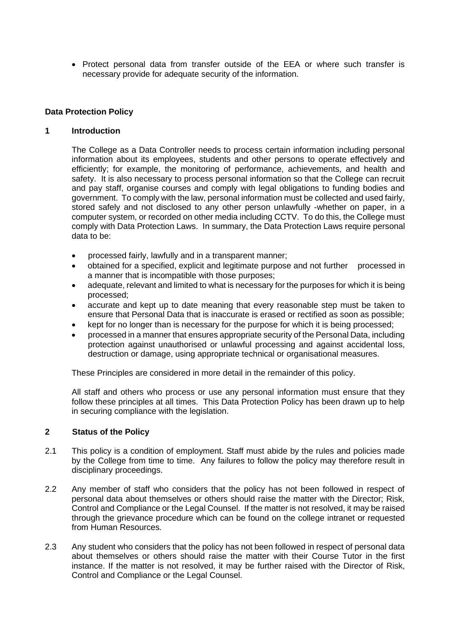• Protect personal data from transfer outside of the EEA or where such transfer is necessary provide for adequate security of the information.

#### **Data Protection Policy**

#### **1 Introduction**

The College as a Data Controller needs to process certain information including personal information about its employees, students and other persons to operate effectively and efficiently; for example, the monitoring of performance, achievements, and health and safety. It is also necessary to process personal information so that the College can recruit and pay staff, organise courses and comply with legal obligations to funding bodies and government. To comply with the law, personal information must be collected and used fairly, stored safely and not disclosed to any other person unlawfully -whether on paper, in a computer system, or recorded on other media including CCTV. To do this, the College must comply with Data Protection Laws. In summary, the Data Protection Laws require personal data to be:

- processed fairly, lawfully and in a transparent manner;
- obtained for a specified, explicit and legitimate purpose and not further processed in a manner that is incompatible with those purposes;
- adequate, relevant and limited to what is necessary for the purposes for which it is being processed;
- accurate and kept up to date meaning that every reasonable step must be taken to ensure that Personal Data that is inaccurate is erased or rectified as soon as possible;
- kept for no longer than is necessary for the purpose for which it is being processed;
- processed in a manner that ensures appropriate security of the Personal Data, including protection against unauthorised or unlawful processing and against accidental loss, destruction or damage, using appropriate technical or organisational measures.

These Principles are considered in more detail in the remainder of this policy.

All staff and others who process or use any personal information must ensure that they follow these principles at all times. This Data Protection Policy has been drawn up to help in securing compliance with the legislation.

#### **2 Status of the Policy**

- 2.1 This policy is a condition of employment. Staff must abide by the rules and policies made by the College from time to time. Any failures to follow the policy may therefore result in disciplinary proceedings.
- 2.2 Any member of staff who considers that the policy has not been followed in respect of personal data about themselves or others should raise the matter with the Director; Risk, Control and Compliance or the Legal Counsel. If the matter is not resolved, it may be raised through the grievance procedure which can be found on the college intranet or requested from Human Resources.
- 2.3 Any student who considers that the policy has not been followed in respect of personal data about themselves or others should raise the matter with their Course Tutor in the first instance. If the matter is not resolved, it may be further raised with the Director of Risk, Control and Compliance or the Legal Counsel.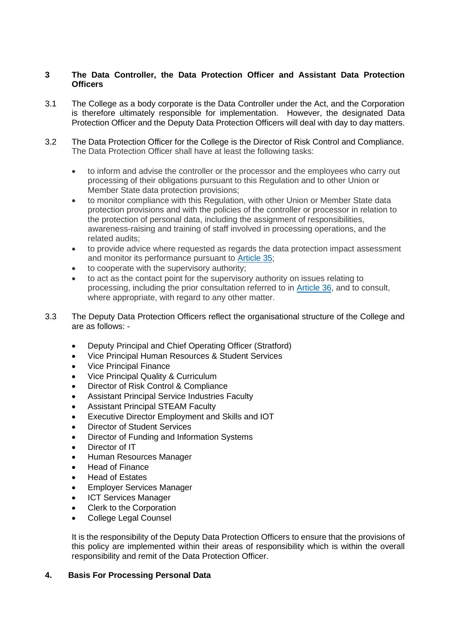## **3 The Data Controller, the Data Protection Officer and Assistant Data Protection Officers**

- 3.1 The College as a body corporate is the Data Controller under the Act, and the Corporation is therefore ultimately responsible for implementation. However, the designated Data Protection Officer and the Deputy Data Protection Officers will deal with day to day matters.
- 3.2 The Data Protection Officer for the College is the Director of Risk Control and Compliance. The Data Protection Officer shall have at least the following tasks:
	- to inform and advise the controller or the processor and the employees who carry out processing of their obligations pursuant to this Regulation and to other Union or Member State data protection provisions;
	- to monitor compliance with this Regulation, with other Union or Member State data protection provisions and with the policies of the controller or processor in relation to the protection of personal data, including the assignment of responsibilities, awareness-raising and training of staff involved in processing operations, and the related audits;
	- to provide advice where requested as regards the data protection impact assessment and monitor its performance pursuant to [Article](https://gdpr-info.eu/art-35-gdpr/) 35;
	- to cooperate with the supervisory authority;
	- to act as the contact point for the supervisory authority on issues relating to processing, including the prior consultation referred to in [Article](https://gdpr-info.eu/art-36-gdpr/) 36, and to consult, where appropriate, with regard to any other matter.
- 3.3 The Deputy Data Protection Officers reflect the organisational structure of the College and are as follows: -
	- Deputy Principal and Chief Operating Officer (Stratford)
	- Vice Principal Human Resources & Student Services
	- Vice Principal Finance
	- Vice Principal Quality & Curriculum
	- Director of Risk Control & Compliance
	- Assistant Principal Service Industries Faculty
	- Assistant Principal STEAM Faculty
	- Executive Director Employment and Skills and IOT
	- Director of Student Services
	- Director of Funding and Information Systems
	- Director of IT
	- Human Resources Manager
	- Head of Finance
	- Head of Estates
	- Employer Services Manager
	- **ICT Services Manager**
	- Clerk to the Corporation
	- College Legal Counsel

It is the responsibility of the Deputy Data Protection Officers to ensure that the provisions of this policy are implemented within their areas of responsibility which is within the overall responsibility and remit of the Data Protection Officer.

## **4. Basis For Processing Personal Data**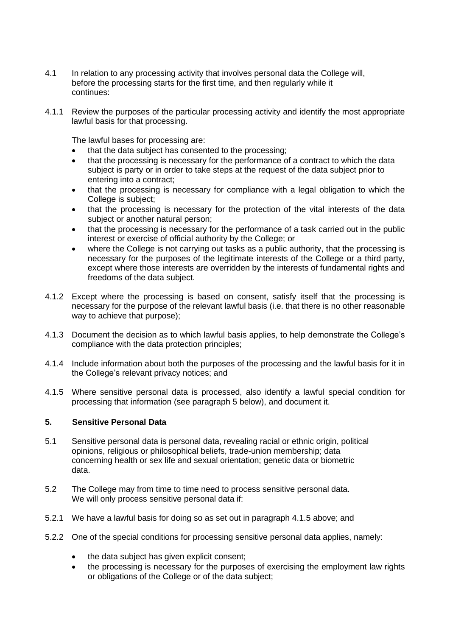- 4.1 In relation to any processing activity that involves personal data the College will, before the processing starts for the first time, and then regularly while it continues:
- 4.1.1 Review the purposes of the particular processing activity and identify the most appropriate lawful basis for that processing.

The lawful bases for processing are:

- that the data subject has consented to the processing;
- that the processing is necessary for the performance of a contract to which the data subject is party or in order to take steps at the request of the data subject prior to entering into a contract;
- that the processing is necessary for compliance with a legal obligation to which the College is subject;
- that the processing is necessary for the protection of the vital interests of the data subject or another natural person;
- that the processing is necessary for the performance of a task carried out in the public interest or exercise of official authority by the College; or
- where the College is not carrying out tasks as a public authority, that the processing is necessary for the purposes of the legitimate interests of the College or a third party, except where those interests are overridden by the interests of fundamental rights and freedoms of the data subject.
- 4.1.2 Except where the processing is based on consent, satisfy itself that the processing is necessary for the purpose of the relevant lawful basis (i.e. that there is no other reasonable way to achieve that purpose);
- 4.1.3 Document the decision as to which lawful basis applies, to help demonstrate the College's compliance with the data protection principles;
- 4.1.4 Include information about both the purposes of the processing and the lawful basis for it in the College's relevant privacy notices; and
- 4.1.5 Where sensitive personal data is processed, also identify a lawful special condition for processing that information (see paragraph 5 below), and document it.

## **5. Sensitive Personal Data**

- 5.1 Sensitive personal data is personal data, revealing racial or ethnic origin, political opinions, religious or philosophical beliefs, trade-union membership; data concerning health or sex life and sexual orientation; genetic data or biometric data.
- 5.2 The College may from time to time need to process sensitive personal data. We will only process sensitive personal data if:
- 5.2.1 We have a lawful basis for doing so as set out in paragraph 4.1.5 above; and
- 5.2.2 One of the special conditions for processing sensitive personal data applies, namely:
	- the data subject has given explicit consent;
	- the processing is necessary for the purposes of exercising the employment law rights or obligations of the College or of the data subject;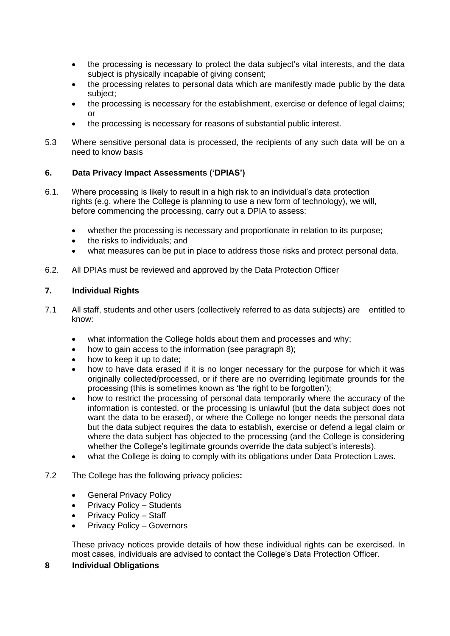- the processing is necessary to protect the data subject's vital interests, and the data subject is physically incapable of giving consent;
- the processing relates to personal data which are manifestly made public by the data subject;
- the processing is necessary for the establishment, exercise or defence of legal claims; or
- the processing is necessary for reasons of substantial public interest.
- 5.3 Where sensitive personal data is processed, the recipients of any such data will be on a need to know basis

## **6. Data Privacy Impact Assessments ('DPIAS')**

- 6.1. Where processing is likely to result in a high risk to an individual's data protection rights (e.g. where the College is planning to use a new form of technology), we will, before commencing the processing, carry out a DPIA to assess:
	- whether the processing is necessary and proportionate in relation to its purpose;
	- the risks to individuals; and
	- what measures can be put in place to address those risks and protect personal data.
- 6.2. All DPIAs must be reviewed and approved by the Data Protection Officer

## **7. Individual Rights**

- 7.1 All staff, students and other users (collectively referred to as data subjects) are entitled to know:
	- what information the College holds about them and processes and why;
	- how to gain access to the information (see paragraph 8);
	- how to keep it up to date;
	- how to have data erased if it is no longer necessary for the purpose for which it was originally collected/processed, or if there are no overriding legitimate grounds for the processing (this is sometimes known as 'the right to be forgotten');
	- how to restrict the processing of personal data temporarily where the accuracy of the information is contested, or the processing is unlawful (but the data subject does not want the data to be erased), or where the College no longer needs the personal data but the data subject requires the data to establish, exercise or defend a legal claim or where the data subject has objected to the processing (and the College is considering whether the College's legitimate grounds override the data subject's interests).
	- what the College is doing to comply with its obligations under Data Protection Laws.
- 7.2 The College has the following privacy policies**:** 
	- General Privacy Policy
	- Privacy Policy Students
	- Privacy Policy Staff
	- Privacy Policy Governors

These privacy notices provide details of how these individual rights can be exercised. In most cases, individuals are advised to contact the College's Data Protection Officer.

## **8 Individual Obligations**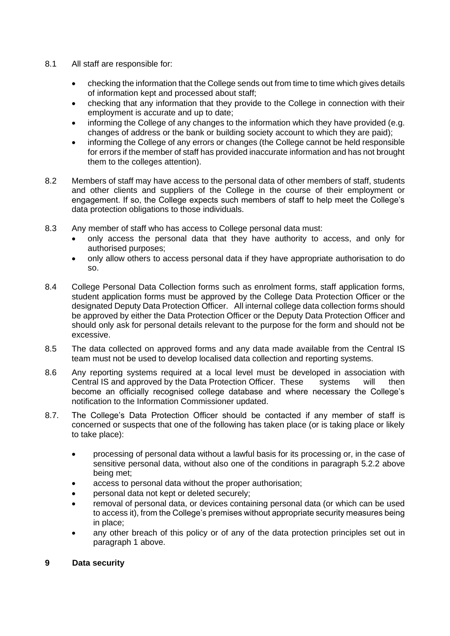- 8.1 All staff are responsible for:
	- checking the information that the College sends out from time to time which gives details of information kept and processed about staff;
	- checking that any information that they provide to the College in connection with their employment is accurate and up to date;
	- informing the College of any changes to the information which they have provided (e.g. changes of address or the bank or building society account to which they are paid);
	- informing the College of any errors or changes (the College cannot be held responsible for errors if the member of staff has provided inaccurate information and has not brought them to the colleges attention).
- 8.2 Members of staff may have access to the personal data of other members of staff, students and other clients and suppliers of the College in the course of their employment or engagement. If so, the College expects such members of staff to help meet the College's data protection obligations to those individuals.
- 8.3 Any member of staff who has access to College personal data must:
	- only access the personal data that they have authority to access, and only for authorised purposes;
	- only allow others to access personal data if they have appropriate authorisation to do so.
- 8.4 College Personal Data Collection forms such as enrolment forms, staff application forms, student application forms must be approved by the College Data Protection Officer or the designated Deputy Data Protection Officer. All internal college data collection forms should be approved by either the Data Protection Officer or the Deputy Data Protection Officer and should only ask for personal details relevant to the purpose for the form and should not be excessive.
- 8.5 The data collected on approved forms and any data made available from the Central IS team must not be used to develop localised data collection and reporting systems.
- 8.6 Any reporting systems required at a local level must be developed in association with Central IS and approved by the Data Protection Officer. These systems will then become an officially recognised college database and where necessary the College's notification to the Information Commissioner updated.
- 8.7. The College's Data Protection Officer should be contacted if any member of staff is concerned or suspects that one of the following has taken place (or is taking place or likely to take place):
	- processing of personal data without a lawful basis for its processing or, in the case of sensitive personal data, without also one of the conditions in paragraph 5.2.2 above being met;
	- access to personal data without the proper authorisation;
	- personal data not kept or deleted securely;
	- removal of personal data, or devices containing personal data (or which can be used to access it), from the College's premises without appropriate security measures being in place;
	- any other breach of this policy or of any of the data protection principles set out in paragraph 1 above.
- **9 Data security**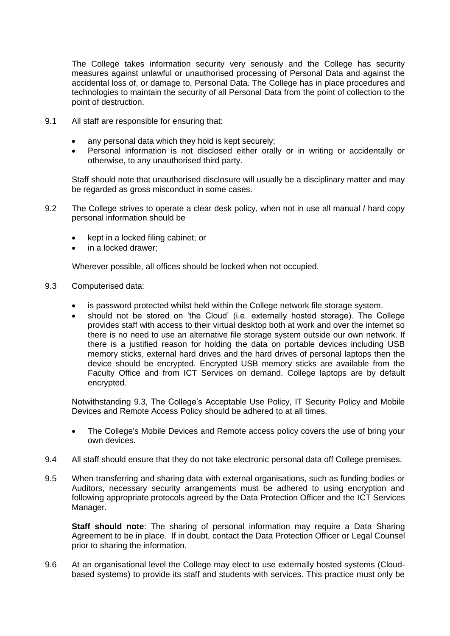The College takes information security very seriously and the College has security measures against unlawful or unauthorised processing of Personal Data and against the accidental loss of, or damage to, Personal Data. The College has in place procedures and technologies to maintain the security of all Personal Data from the point of collection to the point of destruction.

- 9.1 All staff are responsible for ensuring that:
	- any personal data which they hold is kept securely;
	- Personal information is not disclosed either orally or in writing or accidentally or otherwise, to any unauthorised third party.

Staff should note that unauthorised disclosure will usually be a disciplinary matter and may be regarded as gross misconduct in some cases.

- 9.2 The College strives to operate a clear desk policy, when not in use all manual / hard copy personal information should be
	- kept in a locked filing cabinet; or
	- in a locked drawer:

Wherever possible, all offices should be locked when not occupied.

- 9.3 Computerised data:
	- is password protected whilst held within the College network file storage system.
	- should not be stored on 'the Cloud' (i.e. externally hosted storage). The College provides staff with access to their virtual desktop both at work and over the internet so there is no need to use an alternative file storage system outside our own network. If there is a justified reason for holding the data on portable devices including USB memory sticks, external hard drives and the hard drives of personal laptops then the device should be encrypted. Encrypted USB memory sticks are available from the Faculty Office and from ICT Services on demand. College laptops are by default encrypted.

Notwithstanding 9.3, The College's Acceptable Use Policy, IT Security Policy and Mobile Devices and Remote Access Policy should be adhered to at all times.

- The College's Mobile Devices and Remote access policy covers the use of bring your own devices.
- 9.4 All staff should ensure that they do not take electronic personal data off College premises.
- 9.5 When transferring and sharing data with external organisations, such as funding bodies or Auditors, necessary security arrangements must be adhered to using encryption and following appropriate protocols agreed by the Data Protection Officer and the ICT Services Manager.

**Staff should note**: The sharing of personal information may require a Data Sharing Agreement to be in place. If in doubt, contact the Data Protection Officer or Legal Counsel prior to sharing the information.

9.6 At an organisational level the College may elect to use externally hosted systems (Cloudbased systems) to provide its staff and students with services. This practice must only be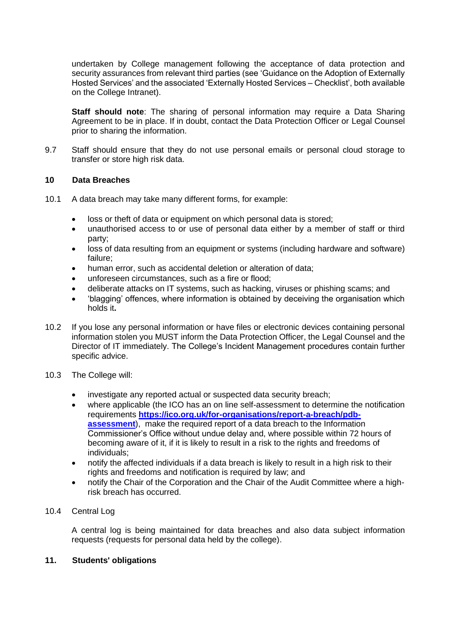undertaken by College management following the acceptance of data protection and security assurances from relevant third parties (see 'Guidance on the Adoption of Externally Hosted Services' and the associated 'Externally Hosted Services – Checklist', both available on the College Intranet).

**Staff should note**: The sharing of personal information may require a Data Sharing Agreement to be in place. If in doubt, contact the Data Protection Officer or Legal Counsel prior to sharing the information.

9.7 Staff should ensure that they do not use personal emails or personal cloud storage to transfer or store high risk data.

#### **10 Data Breaches**

- 10.1 A data breach may take many different forms, for example:
	- loss or theft of data or equipment on which personal data is stored;
	- unauthorised access to or use of personal data either by a member of staff or third party;
	- loss of data resulting from an equipment or systems (including hardware and software) failure;
	- human error, such as accidental deletion or alteration of data;
	- unforeseen circumstances, such as a fire or flood:
	- deliberate attacks on IT systems, such as hacking, viruses or phishing scams; and
	- 'blagging' offences, where information is obtained by deceiving the organisation which holds it**.**
- 10.2 If you lose any personal information or have files or electronic devices containing personal information stolen you MUST inform the Data Protection Officer, the Legal Counsel and the Director of IT immediately. The College's Incident Management procedures contain further specific advice.
- 10.3 The College will:
	- investigate any reported actual or suspected data security breach;
	- where applicable (the ICO has an on line self-assessment to determine the notification requirements **[https://ico.org.uk/for-organisations/report-a-breach/pdb](https://ico.org.uk/for-organisations/report-a-breach/pdb-assessment)[assessment](https://ico.org.uk/for-organisations/report-a-breach/pdb-assessment)**), make the required report of a data breach to the Information Commissioner's Office without undue delay and, where possible within 72 hours of becoming aware of it, if it is likely to result in a risk to the rights and freedoms of individuals;
	- notify the affected individuals if a data breach is likely to result in a high risk to their rights and freedoms and notification is required by law; and
	- notify the Chair of the Corporation and the Chair of the Audit Committee where a highrisk breach has occurred.

## 10.4 Central Log

A central log is being maintained for data breaches and also data subject information requests (requests for personal data held by the college).

#### **11. Students' obligations**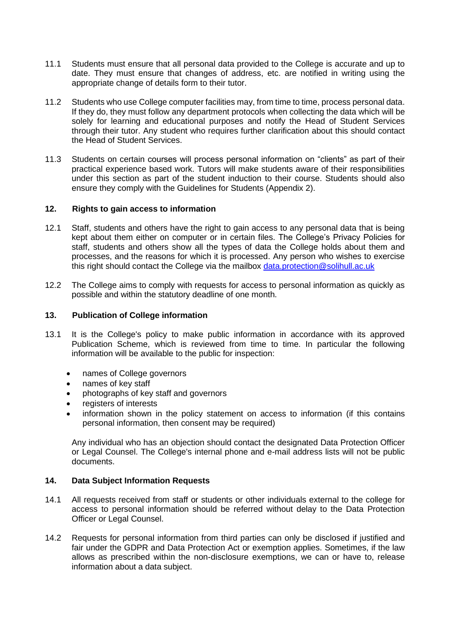- 11.1 Students must ensure that all personal data provided to the College is accurate and up to date. They must ensure that changes of address, etc. are notified in writing using the appropriate change of details form to their tutor.
- 11.2 Students who use College computer facilities may, from time to time, process personal data. If they do, they must follow any department protocols when collecting the data which will be solely for learning and educational purposes and notify the Head of Student Services through their tutor. Any student who requires further clarification about this should contact the Head of Student Services.
- 11.3 Students on certain courses will process personal information on "clients" as part of their practical experience based work. Tutors will make students aware of their responsibilities under this section as part of the student induction to their course. Students should also ensure they comply with the Guidelines for Students (Appendix 2).

## **12. Rights to gain access to information**

- 12.1 Staff, students and others have the right to gain access to any personal data that is being kept about them either on computer or in certain files. The College's Privacy Policies for staff, students and others show all the types of data the College holds about them and processes, and the reasons for which it is processed. Any person who wishes to exercise this right should contact the College via the mailbox [data.protection@solihull.ac.uk](mailto:data.protection@solihull.ac.uk)
- 12.2 The College aims to comply with requests for access to personal information as quickly as possible and within the statutory deadline of one month.

#### **13. Publication of College information**

- 13.1 It is the College's policy to make public information in accordance with its approved Publication Scheme, which is reviewed from time to time. In particular the following information will be available to the public for inspection:
	- names of College governors
	- names of key staff
	- photographs of key staff and governors
	- registers of interests
	- information shown in the policy statement on access to information (if this contains personal information, then consent may be required)

Any individual who has an objection should contact the designated Data Protection Officer or Legal Counsel. The College's internal phone and e-mail address lists will not be public documents.

#### **14. Data Subject Information Requests**

- 14.1 All requests received from staff or students or other individuals external to the college for access to personal information should be referred without delay to the Data Protection Officer or Legal Counsel.
- 14.2 Requests for personal information from third parties can only be disclosed if justified and fair under the GDPR and Data Protection Act or exemption applies. Sometimes, if the law allows as prescribed within the non-disclosure exemptions, we can or have to, release information about a data subject.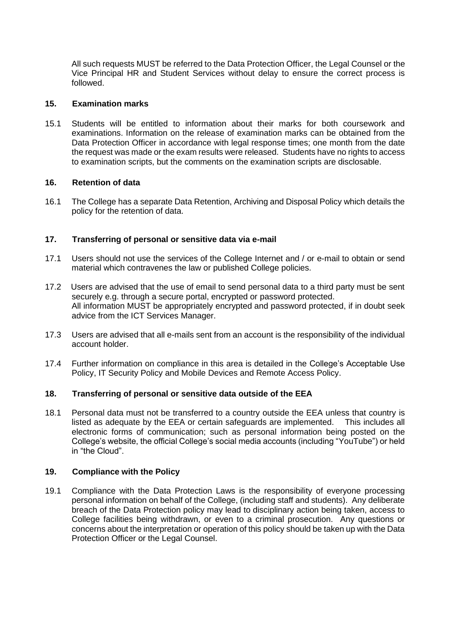All such requests MUST be referred to the Data Protection Officer, the Legal Counsel or the Vice Principal HR and Student Services without delay to ensure the correct process is followed.

## **15. Examination marks**

15.1 Students will be entitled to information about their marks for both coursework and examinations. Information on the release of examination marks can be obtained from the Data Protection Officer in accordance with legal response times; one month from the date the request was made or the exam results were released. Students have no rights to access to examination scripts, but the comments on the examination scripts are disclosable.

## **16. Retention of data**

16.1 The College has a separate Data Retention, Archiving and Disposal Policy which details the policy for the retention of data.

## **17. Transferring of personal or sensitive data via e-mail**

- 17.1 Users should not use the services of the College Internet and / or e-mail to obtain or send material which contravenes the law or published College policies.
- 17.2 Users are advised that the use of email to send personal data to a third party must be sent securely e.g. through a secure portal, encrypted or password protected. All information MUST be appropriately encrypted and password protected, if in doubt seek advice from the ICT Services Manager.
- 17.3 Users are advised that all e-mails sent from an account is the responsibility of the individual account holder.
- 17.4 Further information on compliance in this area is detailed in the College's Acceptable Use Policy, IT Security Policy and Mobile Devices and Remote Access Policy.

## **18. Transferring of personal or sensitive data outside of the EEA**

18.1 Personal data must not be transferred to a country outside the EEA unless that country is listed as adequate by the EEA or certain safeguards are implemented. This includes all electronic forms of communication; such as personal information being posted on the College's website, the official College's social media accounts (including "YouTube") or held in "the Cloud".

## **19. Compliance with the Policy**

19.1 Compliance with the Data Protection Laws is the responsibility of everyone processing personal information on behalf of the College, (including staff and students). Any deliberate breach of the Data Protection policy may lead to disciplinary action being taken, access to College facilities being withdrawn, or even to a criminal prosecution. Any questions or concerns about the interpretation or operation of this policy should be taken up with the Data Protection Officer or the Legal Counsel.